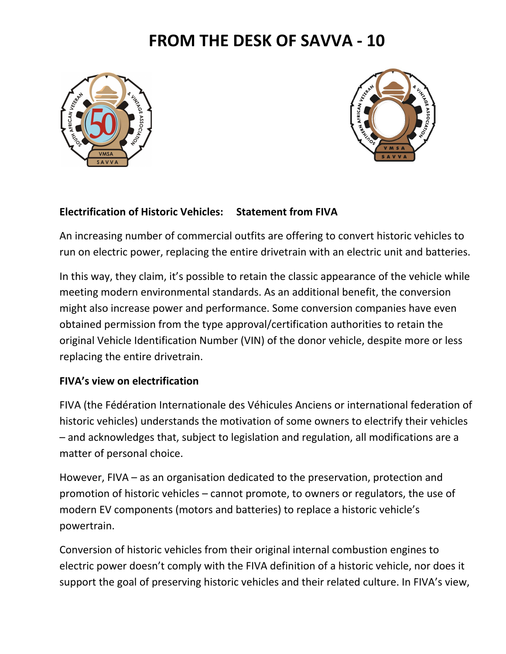## **FROM THE DESK OF SAVVA - 10**





## **Electrification of Historic Vehicles: Statement from FIVA**

An increasing number of commercial outfits are offering to convert historic vehicles to run on electric power, replacing the entire drivetrain with an electric unit and batteries.

In this way, they claim, it's possible to retain the classic appearance of the vehicle while meeting modern environmental standards. As an additional benefit, the conversion might also increase power and performance. Some conversion companies have even obtained permission from the type approval/certification authorities to retain the original Vehicle Identification Number (VIN) of the donor vehicle, despite more or less replacing the entire drivetrain.

## **FIVA's view on electrification**

FIVA (the Fédération Internationale des Véhicules Anciens or international federation of historic vehicles) understands the motivation of some owners to electrify their vehicles – and acknowledges that, subject to legislation and regulation, all modifications are a matter of personal choice.

However, FIVA – as an organisation dedicated to the preservation, protection and promotion of historic vehicles – cannot promote, to owners or regulators, the use of modern EV components (motors and batteries) to replace a historic vehicle's powertrain.

Conversion of historic vehicles from their original internal combustion engines to electric power doesn't comply with the FIVA definition of a historic vehicle, nor does it support the goal of preserving historic vehicles and their related culture. In FIVA's view,